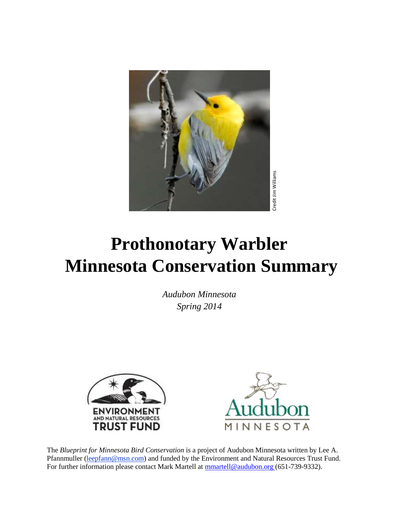

# **Prothonotary Warbler Minnesota Conservation Summary From For Further information please contact Mark Martell at [mmartell@audubon.org](mailto:mmartell@audubon.org) (651-739-9332).**<br>
For further information please contact Mark Martel at mmartell@audubon.org (651-739-9332).<br>
For further information pleas

*Audubon Minnesota Spring 2014*





The *Blueprint for Minnesota Bird Conservation* is a project of Audubon Minnesota written by Lee A. Pfannmuller [\(leepfann@msn.com\)](mailto:leepfann@msn.com) and funded by the Environment and Natural Resources Trust Fund.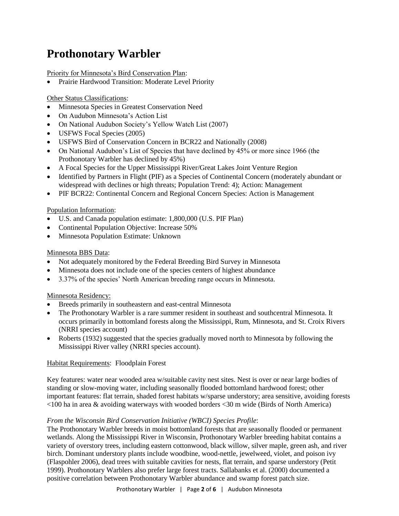# **Prothonotary Warbler**

Priority for Minnesota's Bird Conservation Plan:

Prairie Hardwood Transition: Moderate Level Priority

Other Status Classifications:

- Minnesota Species in Greatest Conservation Need
- On Audubon Minnesota's Action List
- On National Audubon Society's Yellow Watch List (2007)
- USFWS Focal Species (2005)
- USFWS Bird of Conservation Concern in BCR22 and Nationally (2008)
- On National Audubon's List of Species that have declined by 45% or more since 1966 (the Prothonotary Warbler has declined by 45%)
- A Focal Species for the Upper Mississippi River/Great Lakes Joint Venture Region
- Identified by Partners in Flight (PIF) as a Species of Continental Concern (moderately abundant or widespread with declines or high threats; Population Trend: 4); Action: Management
- PIF BCR22: Continental Concern and Regional Concern Species: Action is Management

# Population Information:

- U.S. and Canada population estimate: 1,800,000 (U.S. PIF Plan)
- Continental Population Objective: Increase 50%
- Minnesota Population Estimate: Unknown

# Minnesota BBS Data:

- Not adequately monitored by the Federal Breeding Bird Survey in Minnesota
- Minnesota does not include one of the species centers of highest abundance
- 3.37% of the species' North American breeding range occurs in Minnesota.

# Minnesota Residency:

- Breeds primarily in southeastern and east-central Minnesota
- The Prothonotary Warbler is a rare summer resident in southeast and southcentral Minnesota. It occurs primarily in bottomland forests along the Mississippi, Rum, Minnesota, and St. Croix Rivers (NRRI species account)
- Roberts (1932) suggested that the species gradually moved north to Minnesota by following the Mississippi River valley (NRRI species account).

# Habitat Requirements: Floodplain Forest

Key features: water near wooded area w/suitable cavity nest sites. Nest is over or near large bodies of standing or slow-moving water, including seasonally flooded bottomland hardwood forest; other important features: flat terrain, shaded forest habitats w/sparse understory; area sensitive, avoiding forests <100 ha in area & avoiding waterways with wooded borders <30 m wide (Birds of North America)

# *From the Wisconsin Bird Conservation Initiative (WBCI) Species Profile*:

The Prothonotary Warbler breeds in moist bottomland forests that are seasonally flooded or permanent wetlands. Along the Mississippi River in Wisconsin, Prothonotary Warbler breeding habitat contains a variety of overstory trees, including eastern cottonwood, black willow, silver maple, green ash, and river birch. Dominant understory plants include woodbine, wood-nettle, jewelweed, violet, and poison ivy (Flaspohler 2006), dead trees with suitable cavities for nests, flat terrain, and sparse understory (Petit 1999). Prothonotary Warblers also prefer large forest tracts. Sallabanks et al. (2000) documented a positive correlation between Prothonotary Warbler abundance and swamp forest patch size.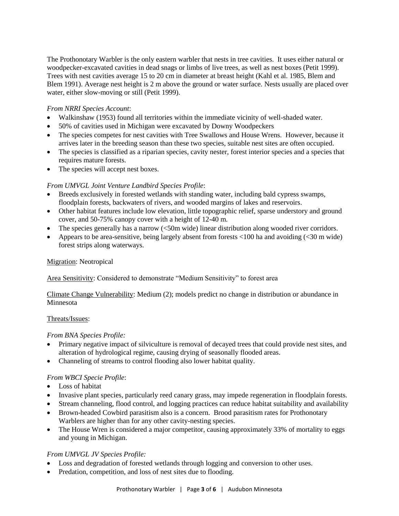The Prothonotary Warbler is the only eastern warbler that nests in tree cavities. It uses either natural or woodpecker-excavated cavities in dead snags or limbs of live trees, as well as nest boxes (Petit 1999). Trees with nest cavities average 15 to 20 cm in diameter at breast height (Kahl et al. 1985, Blem and Blem 1991). Average nest height is 2 m above the ground or water surface. Nests usually are placed over water, either slow-moving or still (Petit 1999).

#### *From NRRI Species Account*:

- Walkinshaw (1953) found all territories within the immediate vicinity of well-shaded water.
- 50% of cavities used in Michigan were excavated by Downy Woodpeckers
- The species competes for nest cavities with Tree Swallows and House Wrens. However, because it arrives later in the breeding season than these two species, suitable nest sites are often occupied.
- The species is classified as a riparian species, cavity nester, forest interior species and a species that requires mature forests.
- The species will accept nest boxes.

#### *From UMVGL Joint Venture Landbird Species Profile*:

- Breeds exclusively in forested wetlands with standing water, including bald cypress swamps, floodplain forests, backwaters of rivers, and wooded margins of lakes and reservoirs.
- Other habitat features include low elevation, little topographic relief, sparse understory and ground cover, and 50-75% canopy cover with a height of 12-40 m.
- The species generally has a narrow (<50m wide) linear distribution along wooded river corridors.
- Appears to be area-sensitive, being largely absent from forests  $< 100$  ha and avoiding  $(< 30$  m wide) forest strips along waterways.

#### Migration: Neotropical

Area Sensitivity: Considered to demonstrate "Medium Sensitivity" to forest area

#### Climate Change Vulnerability: Medium (2); models predict no change in distribution or abundance in Minnesota

#### Threats/Issues:

#### *From BNA Species Profile:*

- Primary negative impact of silviculture is removal of decayed trees that could provide nest sites, and alteration of hydrological regime, causing drying of seasonally flooded areas.
- Channeling of streams to control flooding also lower habitat quality.

# *From WBCI Specie Profile*:

- Loss of habitat
- Invasive plant species, particularly reed canary grass, may impede regeneration in floodplain forests.
- Stream channeling, flood control, and logging practices can reduce habitat suitability and availability
- Brown-headed Cowbird parasitism also is a concern. Brood parasitism rates for Prothonotary Warblers are higher than for any other cavity-nesting species.
- The House Wren is considered a major competitor, causing approximately 33% of mortality to eggs and young in Michigan.

# *From UMVGL JV Species Profile:*

- Loss and degradation of forested wetlands through logging and conversion to other uses.
- Predation, competition, and loss of nest sites due to flooding.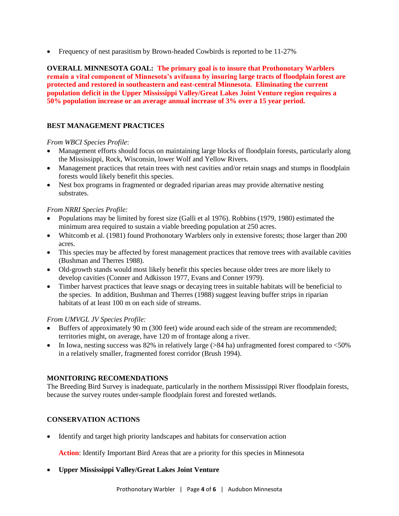• Frequency of nest parasitism by Brown-headed Cowbirds is reported to be 11-27%

**OVERALL MINNESOTA GOAL: The primary goal is to insure that Prothonotary Warblers remain a vital component of Minnesota's avifauna by insuring large tracts of floodplain forest are protected and restored in southeastern and east-central Minnesota. Eliminating the current population deficit in the Upper Mississippi Valley/Great Lakes Joint Venture region requires a 50% population increase or an average annual increase of 3% over a 15 year period.**

# **BEST MANAGEMENT PRACTICES**

#### *From WBCI Species Profile*:

- Management efforts should focus on maintaining large blocks of floodplain forests, particularly along the Mississippi, Rock, Wisconsin, lower Wolf and Yellow Rivers.
- Management practices that retain trees with nest cavities and/or retain snags and stumps in floodplain forests would likely benefit this species.
- Nest box programs in fragmented or degraded riparian areas may provide alternative nesting substrates.

#### *From NRRI Species Profile:*

- Populations may be limited by forest size (Galli et al 1976). Robbins (1979, 1980) estimated the minimum area required to sustain a viable breeding population at 250 acres.
- Whitcomb et al. (1981) found Prothonotary Warblers only in extensive forests; those larger than 200 acres.
- This species may be affected by forest management practices that remove trees with available cavities (Bushman and Therres 1988).
- Old-growth stands would most likely benefit this species because older trees are more likely to develop cavities (Conner and Adkisson 1977, Evans and Conner 1979).
- Timber harvest practices that leave snags or decaying trees in suitable habitats will be beneficial to the species. In addition, Bushman and Therres (1988) suggest leaving buffer strips in riparian habitats of at least 100 m on each side of streams.

#### *From UMVGL JV Species Profile:*

- Buffers of approximately 90 m (300 feet) wide around each side of the stream are recommended; territories might, on average, have 120 m of frontage along a river.
- In Iowa, nesting success was 82% in relatively large ( $>84$  ha) unfragmented forest compared to  $< 50\%$ in a relatively smaller, fragmented forest corridor (Brush 1994).

# **MONITORING RECOMENDATIONS**

The Breeding Bird Survey is inadequate, particularly in the northern Mississippi River floodplain forests, because the survey routes under-sample floodplain forest and forested wetlands.

# **CONSERVATION ACTIONS**

Identify and target high priority landscapes and habitats for conservation action

**Action**: Identify Important Bird Areas that are a priority for this species in Minnesota

# **Upper Mississippi Valley/Great Lakes Joint Venture**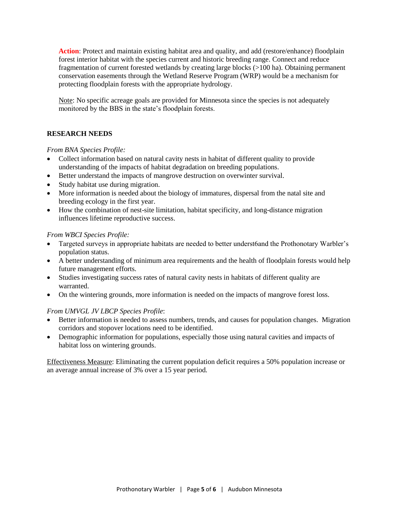**Action**: Protect and maintain existing habitat area and quality, and add (restore/enhance) floodplain forest interior habitat with the species current and historic breeding range. Connect and reduce fragmentation of current forested wetlands by creating large blocks (>100 ha). Obtaining permanent conservation easements through the Wetland Reserve Program (WRP) would be a mechanism for protecting floodplain forests with the appropriate hydrology.

Note: No specific acreage goals are provided for Minnesota since the species is not adequately monitored by the BBS in the state's floodplain forests.

#### **RESEARCH NEEDS**

*From BNA Species Profile:*

- Collect information based on natural cavity nests in habitat of different quality to provide understanding of the impacts of habitat degradation on breeding populations.
- Better understand the impacts of mangrove destruction on overwinter survival.
- Study habitat use during migration.
- More information is needed about the biology of immatures, dispersal from the natal site and breeding ecology in the first year.
- How the combination of nest-site limitation, habitat specificity, and long-distance migration influences lifetime reproductive success.

#### *From WBCI Species Profile:*

- Targeted surveys in appropriate habitats are needed to better underst6and the Prothonotary Warbler's population status.
- A better understanding of minimum area requirements and the health of floodplain forests would help future management efforts.
- Studies investigating success rates of natural cavity nests in habitats of different quality are warranted.
- On the wintering grounds, more information is needed on the impacts of mangrove forest loss.

#### *From UMVGL JV LBCP Species Profile*:

- Better information is needed to assess numbers, trends, and causes for population changes. Migration corridors and stopover locations need to be identified.
- Demographic information for populations, especially those using natural cavities and impacts of habitat loss on wintering grounds.

Effectiveness Measure: Eliminating the current population deficit requires a 50% population increase or an average annual increase of 3% over a 15 year period.